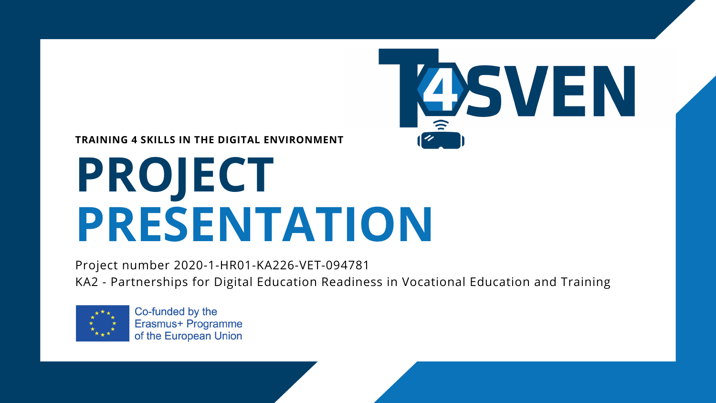## **PROJECT PRESENTATION**



### **TRAINING 4 SKILLS IN THE DIGITAL ENVIRONMENT**

Project number 2020-1-HR01-KA226-VET-094781 KA2 - Partnerships for Digital Education Readiness in Vocational Education and Training



Co-funded by the Erasmus+ Programme of the European Union

# 4SVEN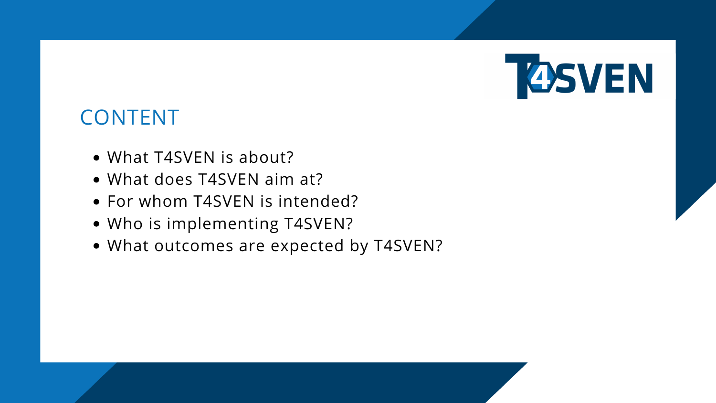- What T4SVEN is about?
- What does T4SVEN aim at?
- For whom T4SVEN is intended?
- Who is implementing T4SVEN?
- What outcomes are expected by T4SVEN?





### CONTENT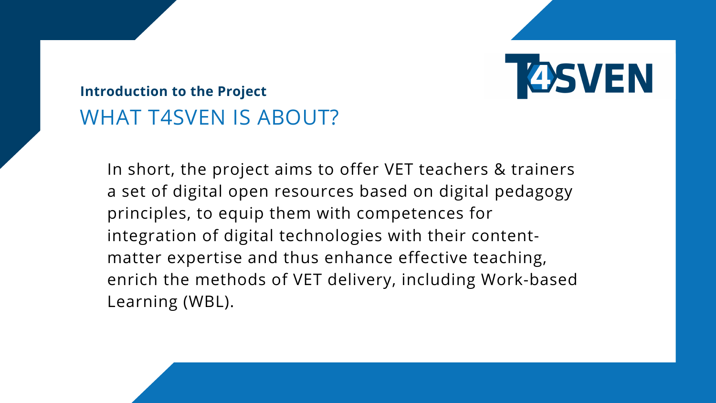In short, the project aims to offer VET teachers & trainers a set of digital open resources based on digital pedagogy principles, to equip them with competences for integration of digital technologies with their contentmatter expertise and thus enhance effective teaching, enrich the methods of VET delivery, including Work-based Learning (WBL).



- 
- 

### **Introduction to the Project** WHAT T4SVEN IS ABOUT?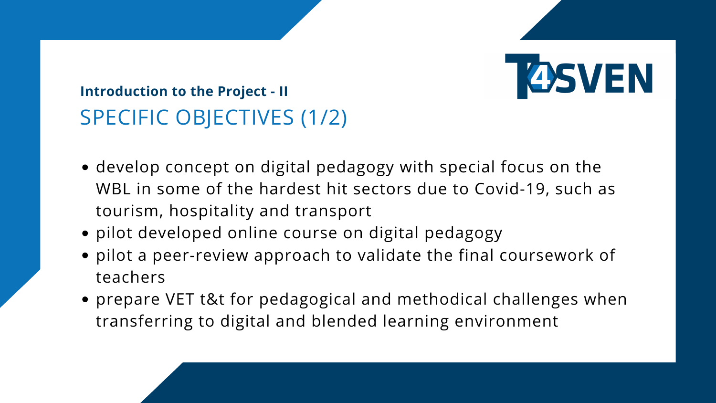- develop concept on digital pedagogy with special focus on the WBL in some of the hardest hit sectors due to Covid-19, such as tourism, hospitality and transport
- pilot developed online course on digital pedagogy
- pilot a peer-review approach to validate the final coursework of teachers
- prepare VET t&t for pedagogical and methodical challenges when transferring to digital and blended learning environment



### **Introduction to the Project - II** SPECIFIC OBJECTIVES (1/2)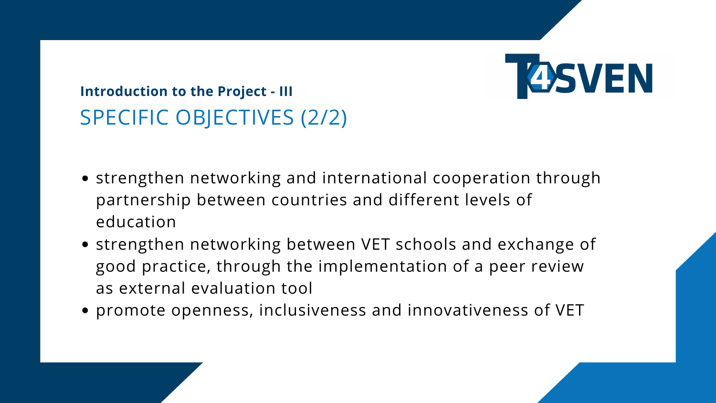- strengthen networking and international cooperation through partnership between countries and different levels of education
- strengthen networking between VET schools and exchange of good practice, through the implementation of a peer review as external evaluation tool
- promote openness, inclusiveness and innovativeness of VET



### **Introduction to the Project - III** SPECIFIC OBJECTIVES (2/2)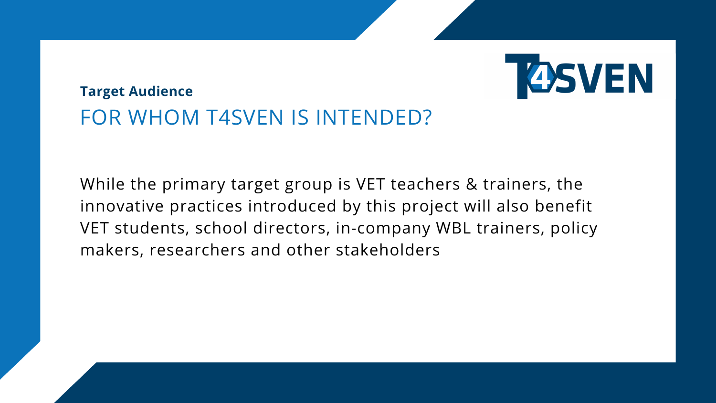While the primary target group is VET teachers & trainers, the innovative practices introduced by this project will also benefit VET students, school directors, in-company WBL trainers, policy makers, researchers and other stakeholders



### **Target Audience** FOR WHOM T4SVEN IS INTENDED?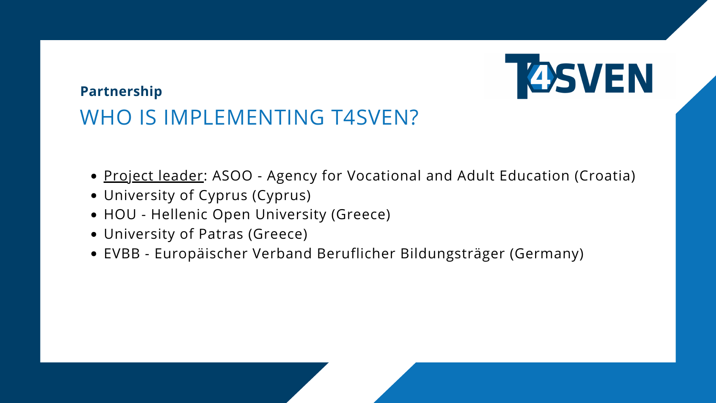- Project leader: ASOO Agency for Vocational and Adult Education (Croatia)
- University of Cyprus (Cyprus)
- HOU Hellenic Open University (Greece)
- University of Patras (Greece)
- EVBB Europäischer Verband Beruflicher Bildungsträger (Germany)

### **Partnership** WHO IS IMPLEMENTING T4SVEN?

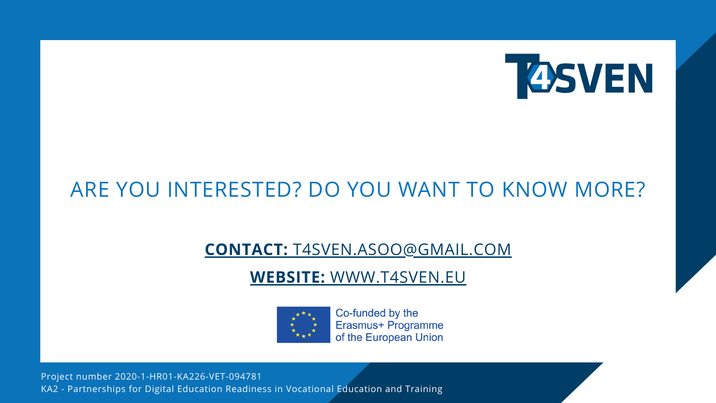### ARE YOU INTERESTED? DO YOU WANT TO KNOW MORE?

### **WEBSITE:** [WW](https://t4sven.cs.ucy.ac.cy/)W.T4SVEN.EU



Co-funded by the Erasmus+ Programme of the European Union

Project number 2020-1-HR01-KA226-VET-094781 KA2 - Partnerships for Digital Education Readiness in Vocational Education and Training



### **CONTACT:** T4SVEN.ASOO@GMAIL.COM